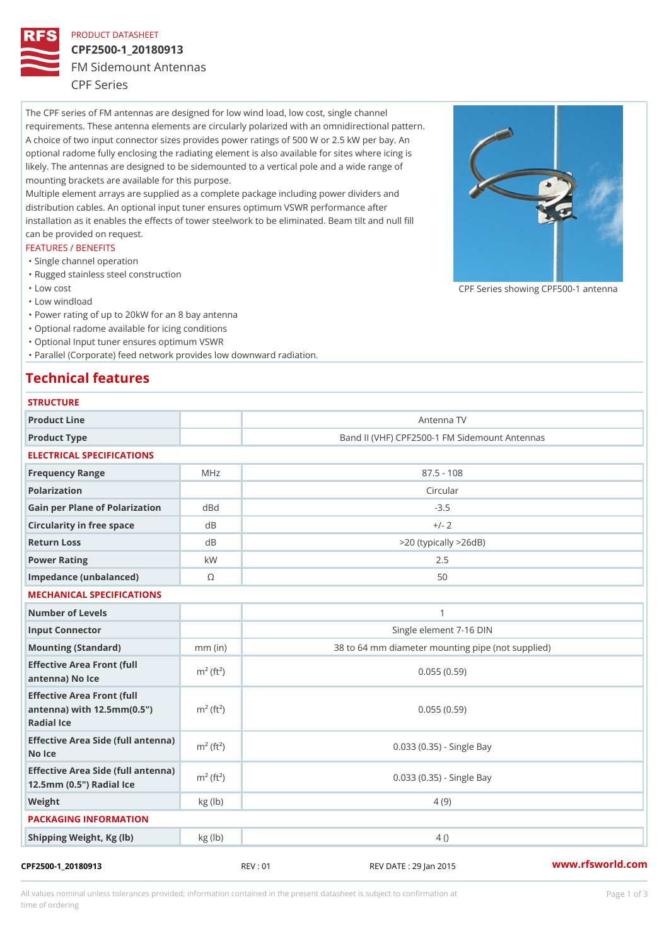### PRODUCT DATASHEET

# CPF2500-1\_20180913 FM Sidemount Antennas

CPF Series

The CPF series of FM antennas are designed for low wind load, low cost, single channel requirements. These antenna elements are circularly polarized with an omnidirectional pattern. A choice of two input connector sizes provides power ratings of 500 W or 2.5 kW per bay. An optional radome fully enclosing the radiating element is also available for sites where icing is likely. The antennas are designed to be sidemounted to a vertical pole and a wide range of mounting brackets are available for this purpose. Multiple element arrays are supplied as a complete package including power dividers and

distribution cables. An optional input tuner ensures optimum VSWR performance after installation as it enables the effects of tower steelwork to be eliminated. Beam tilt and null fill can be provided on request.

### FEATURES / BENEFITS

- "Single channel operation
- "Rugged stainless steel construction
- "Low cost

"Low windload

"Power rating of up to 20kW for an 8 bay antenna

- "Optional radome available for icing conditions
- "Optional Input tuner ensures optimum VSWR

"Parallel (Corporate) feed network provides low downward radiation.

## Technical features

| <b>STRUCTURE</b>                                                                                    |                       |                                                   |
|-----------------------------------------------------------------------------------------------------|-----------------------|---------------------------------------------------|
| Product Line                                                                                        |                       | Antenna TV                                        |
| Product Type                                                                                        |                       | Band II (VHF) CPF2500-1 FM Sidemount Antennas     |
| ELECTRICAL SPECIFICATIONS                                                                           |                       |                                                   |
| Frequency Range                                                                                     | M H z                 | $87.5 - 108$                                      |
| Polarization                                                                                        |                       | Circular                                          |
| Gain per Plane of Polarizat doBnd                                                                   |                       | $-3.5$                                            |
| Circularity in free space                                                                           | d B                   | $+/- 2$                                           |
| Return Loss                                                                                         | d B                   | $> 20$ (typically $> 26dB$ )                      |
| Power Rating                                                                                        | k W                   | 2.5                                               |
| Impedance (unbalanced)                                                                              | $\odot$               | 50                                                |
| MECHANICAL SPECIFICATIONS                                                                           |                       |                                                   |
| Number of Levels                                                                                    |                       | $\mathbf{1}$                                      |
| Input Connector                                                                                     |                       | Single element 7-16 DIN                           |
| Mounting (Standard)                                                                                 | $mm$ (in)             | 38 to 64 mm diameter mounting pipe (not supplied) |
| Effective Area Front (full<br>antenna) No Ice                                                       | $m2$ (ft <sup>2</sup> | 0.055(0.59)                                       |
| Effective Area Front (full<br>antenna) with $12.5 \text{mm} (0.5 \text{ m})^2 (ft^2)$<br>Radial Ice |                       | 0.055(0.59)                                       |
| Effective Area Side (full antenna)<br>m <sup>2</sup> (ft <sup>2</sup> )<br>No Ice                   |                       | 0.033 (0.35) - Single Bay                         |
| Effective Area Side (full antenna)<br>12.5mm (0.5") Radial Ice                                      |                       | 0.033 (0.35) - Single Bay                         |
| Weight                                                                                              | kg(lb)                | 4(9)                                              |
| PACKAGING INFORMATION                                                                               |                       |                                                   |
| Shipping Weight, Kg (lb)                                                                            | kg (lb)               | $4$ ()                                            |

All values nominal unless tolerances provided; information contained in the present datasheet is subject to Pcapgeign mation time of ordering

CPF Series showing CPF500-1 and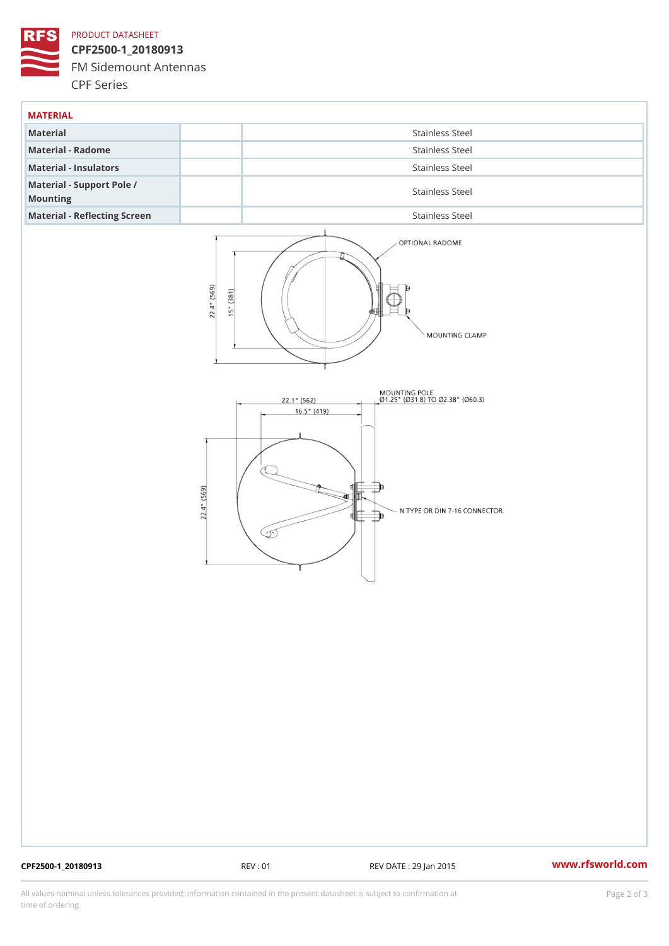### PRODUCT DATASHEET

CPF2500-1\_20180913 FM Sidemount Antennas CPF Series

| MATERIAL                              |                 |
|---------------------------------------|-----------------|
| Material                              | Stainless Steel |
| Material - Radome                     | Stainless Steel |
| Material - Insulators                 | Stainless Steel |
| Material - Support Pole /<br>Mounting | Stainless Steel |
| Material - Reflecting Screen          | Stainless Steel |

CPF2500-1\_20180913 REV : 01 REV DATE : 29 Jan 2015 [www.](https://www.rfsworld.com)rfsworld.com